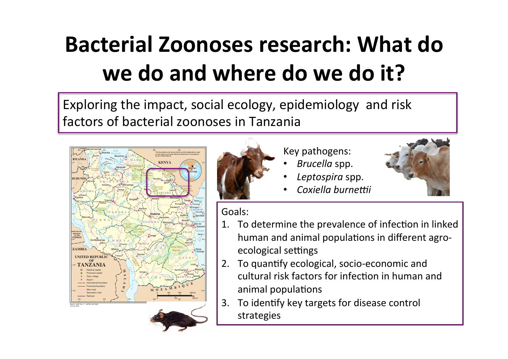## **Bacterial Zoonoses research: What do** we do and where do we do it?

Exploring the impact, social ecology, epidemiology and risk factors of bacterial zoonoses in Tanzania





Key pathogens:

- *Brucella* spp.
- *Leptospira* spp.
- **Coxiella** burnettii



Goals: 

- 1. To determine the prevalence of infection in linked human and animal populations in different agroecological settings
- 2. To quantify ecological, socio-economic and cultural risk factors for infection in human and animal populations
- 3. To identify key targets for disease control strategies